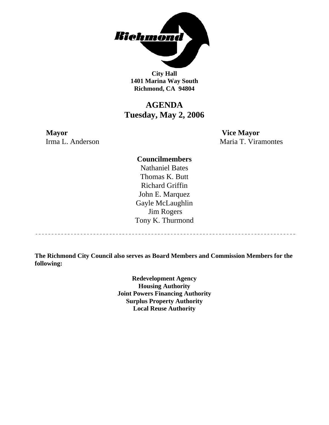

**City Hall 1401 Marina Way South Richmond, CA 94804** 

## **AGENDA Tuesday, May 2, 2006**

**Mayor Vice Mayor** Irma L. Anderson Maria T. Viramontes

## **Councilmembers**

Nathaniel Bates Thomas K. Butt Richard Griffin John E. Marquez Gayle McLaughlin Jim Rogers Tony K. Thurmond

----------------------------------

**The Richmond City Council also serves as Board Members and Commission Members for the following:** 

> **Redevelopment Agency Housing Authority Joint Powers Financing Authority Surplus Property Authority Local Reuse Authority**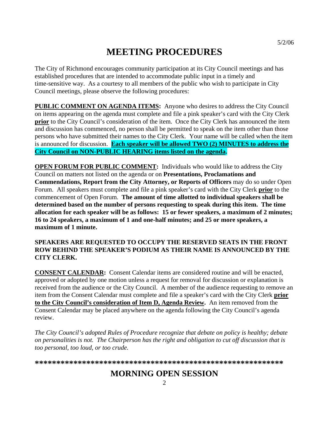# **MEETING PROCEDURES**

The City of Richmond encourages community participation at its City Council meetings and has established procedures that are intended to accommodate public input in a timely and time-sensitive way. As a courtesy to all members of the public who wish to participate in City Council meetings, please observe the following procedures:

**PUBLIC COMMENT ON AGENDA ITEMS:** Anyone who desires to address the City Council on items appearing on the agenda must complete and file a pink speaker's card with the City Clerk **prior** to the City Council's consideration of the item. Once the City Clerk has announced the item and discussion has commenced, no person shall be permitted to speak on the item other than those persons who have submitted their names to the City Clerk. Your name will be called when the item is announced for discussion. **Each speaker will be allowed TWO (2) MINUTES to address the City Council on NON-PUBLIC HEARING items listed on the agenda.** 

**OPEN FORUM FOR PUBLIC COMMENT:** Individuals who would like to address the City Council on matters not listed on the agenda or on **Presentations, Proclamations and Commendations, Report from the City Attorney, or Reports of Officers** may do so under Open Forum. All speakers must complete and file a pink speaker's card with the City Clerk **prior** to the commencement of Open Forum. **The amount of time allotted to individual speakers shall be determined based on the number of persons requesting to speak during this item. The time allocation for each speaker will be as follows: 15 or fewer speakers, a maximum of 2 minutes; 16 to 24 speakers, a maximum of 1 and one-half minutes; and 25 or more speakers, a maximum of 1 minute.** 

### **SPEAKERS ARE REQUESTED TO OCCUPY THE RESERVED SEATS IN THE FRONT ROW BEHIND THE SPEAKER'S PODIUM AS THEIR NAME IS ANNOUNCED BY THE CITY CLERK.**

**CONSENT CALENDAR:** Consent Calendar items are considered routine and will be enacted, approved or adopted by one motion unless a request for removal for discussion or explanation is received from the audience or the City Council. A member of the audience requesting to remove an item from the Consent Calendar must complete and file a speaker's card with the City Clerk **prior to the City Council's consideration of Item D, Agenda Review.** An item removed from the Consent Calendar may be placed anywhere on the agenda following the City Council's agenda review.

*The City Council's adopted Rules of Procedure recognize that debate on policy is healthy; debate on personalities is not. The Chairperson has the right and obligation to cut off discussion that is too personal, too loud, or too crude.* 

**\*\*\*\*\*\*\*\*\*\*\*\*\*\*\*\*\*\*\*\*\*\*\*\*\*\*\*\*\*\*\*\*\*\*\*\*\*\*\*\*\*\*\*\*\*\*\*\*\*\*\*\*\*\*\*\*\*\***

## **MORNING OPEN SESSION**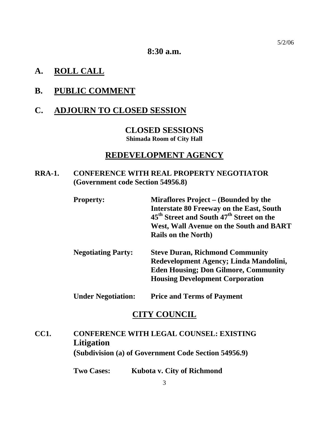**8:30 a.m.** 

## **A. ROLL CALL**

## **B. PUBLIC COMMENT**

## **C. ADJOURN TO CLOSED SESSION**

## **CLOSED SESSIONS Shimada Room of City Hall**

## **REDEVELOPMENT AGENCY**

## **RRA-1. CONFERENCE WITH REAL PROPERTY NEGOTIATOR (Government code Section 54956.8)**

| <b>Property:</b>          | Miraflores Project – (Bounded by the                             |
|---------------------------|------------------------------------------------------------------|
|                           | <b>Interstate 80 Freeway on the East, South</b>                  |
|                           | 45 <sup>th</sup> Street and South 47 <sup>th</sup> Street on the |
|                           | <b>West, Wall Avenue on the South and BART</b>                   |
|                           | <b>Rails on the North</b> )                                      |
| <b>Negotiating Party:</b> | <b>Steve Duran, Richmond Community</b>                           |
|                           | Redevelopment Agency; Linda Mandolini,                           |
|                           | <b>Eden Housing; Don Gilmore, Community</b>                      |
|                           | <b>Housing Development Corporation</b>                           |

**Under Negotiation: Price and Terms of Payment** 

## **CITY COUNCIL**

## **CC1. CONFERENCE WITH LEGAL COUNSEL: EXISTING Litigation (Subdivision (a) of Government Code Section 54956.9)**

 **Two Cases: Kubota v. City of Richmond**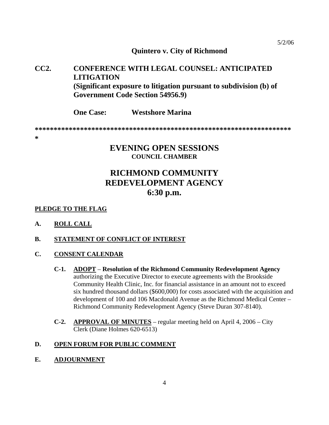### **Quintero v. City of Richmond**

## **CC2. CONFERENCE WITH LEGAL COUNSEL: ANTICIPATED LITIGATION (Significant exposure to litigation pursuant to subdivision (b) of Government Code Section 54956.9)**

 **One Case: Westshore Marina** 

**\*\*\*\*\*\*\*\*\*\*\*\*\*\*\*\*\*\*\*\*\*\*\*\*\*\*\*\*\*\*\*\*\*\*\*\*\*\*\*\*\*\*\*\*\*\*\*\*\*\*\*\*\*\*\*\*\*\*\*\*\*\*\*\*\*\*\*\***

**\*** 

## **EVENING OPEN SESSIONS COUNCIL CHAMBER**

## **RICHMOND COMMUNITY REDEVELOPMENT AGENCY 6:30 p.m.**

### **PLEDGE TO THE FLAG**

**A. ROLL CALL**

## **B. STATEMENT OF CONFLICT OF INTEREST**

- **C. CONSENT CALENDAR**
	- **C-1. ADOPT Resolution of the Richmond Community Redevelopment Agency** authorizing the Executive Director to execute agreements with the Brookside Community Health Clinic, Inc. for financial assistance in an amount not to exceed six hundred thousand dollars (\$600,000) for costs associated with the acquisition and development of 100 and 106 Macdonald Avenue as the Richmond Medical Center – Richmond Community Redevelopment Agency (Steve Duran 307-8140).
	- **C-2. APPROVAL OF MINUTES** regular meeting held on April 4, 2006 City Clerk (Diane Holmes 620-6513)

### **D. OPEN FORUM FOR PUBLIC COMMENT**

**E. ADJOURNMENT**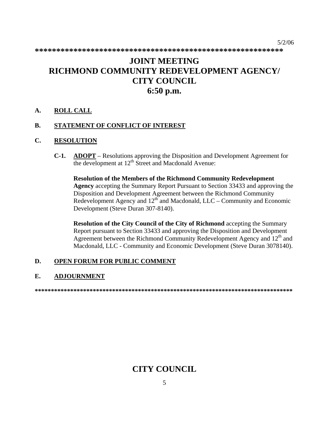$5/2/06$ 

## **JOINT MEETING** RICHMOND COMMUNITY REDEVELOPMENT AGENCY/ **CITY COUNCIL** 6:50 p.m.

#### $\mathbf{A}$ . **ROLL CALL**

#### **B.** STATEMENT OF CONFLICT OF INTEREST

#### $\mathbf{C}$ . **RESOLUTION**

 $C-1$ . **ADOPT** – Resolutions approving the Disposition and Development Agreement for the development at 12<sup>th</sup> Street and Macdonald Avenue:

**Resolution of the Members of the Richmond Community Redevelopment** Agency accepting the Summary Report Pursuant to Section 33433 and approving the Disposition and Development Agreement between the Richmond Community Redevelopment Agency and  $12^{\text{th}}$  and Macdonald, LLC – Community and Economic Development (Steve Duran 307-8140).

**Resolution of the City Council of the City of Richmond accepting the Summary** Report pursuant to Section 33433 and approving the Disposition and Development Agreement between the Richmond Community Redevelopment Agency and 12<sup>th</sup> and Macdonald, LLC - Community and Economic Development (Steve Duran 3078140).

#### D. OPEN FORUM FOR PUBLIC COMMENT

#### Е. **ADJOURNMENT**

## **CITY COUNCIL**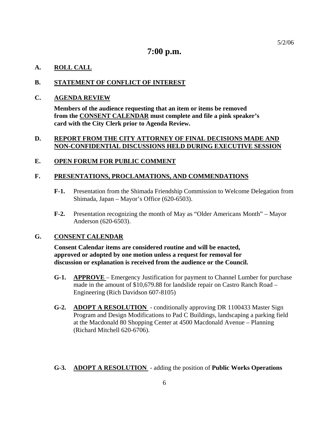## **7:00 p.m.**

## **A. ROLL CALL**

### **B. STATEMENT OF CONFLICT OF INTEREST**

### **C. AGENDA REVIEW**

**Members of the audience requesting that an item or items be removed from the CONSENT CALENDAR must complete and file a pink speaker's card with the City Clerk prior to Agenda Review.** 

### **D. REPORT FROM THE CITY ATTORNEY OF FINAL DECISIONS MADE AND NON-CONFIDENTIAL DISCUSSIONS HELD DURING EXECUTIVE SESSION**

### **E. OPEN FORUM FOR PUBLIC COMMENT**

### **F. PRESENTATIONS, PROCLAMATIONS, AND COMMENDATIONS**

- **F-1.** Presentation from the Shimada Friendship Commission to Welcome Delegation from Shimada, Japan – Mayor's Office (620-6503).
- **F-2.** Presentation recognizing the month of May as "Older Americans Month" Mayor Anderson (620-6503).

### **G. CONSENT CALENDAR**

 **Consent Calendar items are considered routine and will be enacted, approved or adopted by one motion unless a request for removal for discussion or explanation is received from the audience or the Council.** 

- **G-1. APPROVE**  Emergency Justification for payment to Channel Lumber for purchase made in the amount of \$10,679.88 for landslide repair on Castro Ranch Road – Engineering (Rich Davidson 607-8105)
- **G-2. ADOPT A RESOLUTION**  conditionally approving DR 1100433 Master Sign Program and Design Modifications to Pad C Buildings, landscaping a parking field at the Macdonald 80 Shopping Center at 4500 Macdonald Avenue – Planning (Richard Mitchell 620-6706).
- **G-3. ADOPT A RESOLUTION**  adding the position of **Public Works Operations**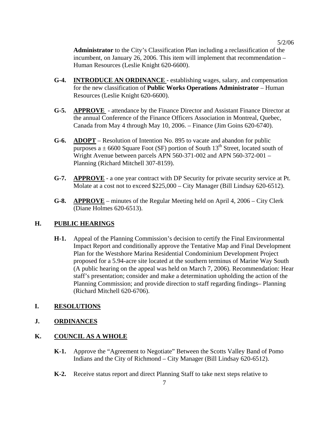5/2/06

**Administrator** to the City's Classification Plan including a reclassification of the incumbent, on January 26, 2006. This item will implement that recommendation – Human Resources (Leslie Knight 620-6600).

- **G-4. INTRODUCE AN ORDINANCE**  establishing wages, salary, and compensation for the new classification of **Public Works Operations Administrator** – Human Resources (Leslie Knight 620-6600).
- **G-5. APPROVE**  attendance by the Finance Director and Assistant Finance Director at the annual Conference of the Finance Officers Association in Montreal, Quebec, Canada from May 4 through May 10, 2006. – Finance (Jim Goins 620-6740).
- **G-6. ADOPT** Resolution of Intention No. 895 to vacate and abandon for public purposes a  $\pm$  6600 Square Foot (SF) portion of South 13<sup>th</sup> Street, located south of Wright Avenue between parcels APN 560-371-002 and APN 560-372-001 – Planning (Richard Mitchell 307-8159).
- **G-7. APPROVE** a one year contract with DP Security for private security service at Pt. Molate at a cost not to exceed \$225,000 – City Manager (Bill Lindsay 620-6512).
- **G-8. APPROVE** minutes of the Regular Meeting held on April 4, 2006 City Clerk (Diane Holmes 620-6513).

### **H. PUBLIC HEARINGS**

**H-1.** Appeal of the Planning Commission's decision to certify the Final Environmental Impact Report and conditionally approve the Tentative Map and Final Development Plan for the Westshore Marina Residential Condominium Development Project proposed for a 5.94-acre site located at the southern terminus of Marine Way South (A public hearing on the appeal was held on March 7, 2006). Recommendation: Hear staff's presentation; consider and make a determination upholding the action of the Planning Commission; and provide direction to staff regarding findings– Planning (Richard Mitchell 620-6706).

### **I. RESOLUTIONS**

### **J. ORDINANCES**

## **K. COUNCIL AS A WHOLE**

- **K-1.** Approve the "Agreement to Negotiate" Between the Scotts Valley Band of Pomo Indians and the City of Richmond – City Manager (Bill Lindsay 620-6512).
- **K-2.** Receive status report and direct Planning Staff to take next steps relative to